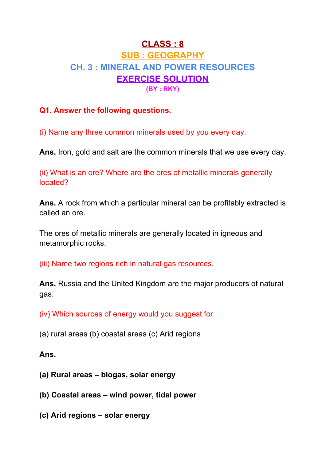# **CLASS : 8 SUB : GEOGRAPHY CH. 3 : MINERAL AND POWER RESOURCES EXERCISE SOLUTION (BY : RKY)**

# **Q1. Answer the following questions.**

(i) Name any three common minerals used by you every day.

**Ans.** Iron, gold and salt are the common minerals that we use every day.

(ii) What is an ore? Where are the ores of metallic minerals generally located?

**Ans.** A rock from which a particular mineral can be profitably extracted is called an ore.

The ores of metallic minerals are generally located in igneous and metamorphic rocks.

(iii) Name two regions rich in natural gas resources.

**Ans.** Russia and the United Kingdom are the major producers of natural gas.

(iv) Which sources of energy would you suggest for

(a) rural areas (b) coastal areas (c) Arid regions

# **Ans.**

- **(a) Rural areas – biogas, solar energy**
- **(b) Coastal areas – wind power, tidal power**
- **(c) Arid regions – solar energy**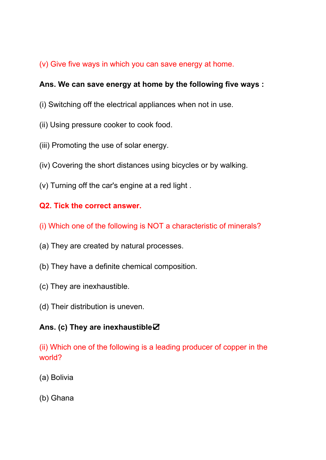# (v) Give five ways in which you can save energy at home.

### **Ans. We can save energy at home by the following five ways :**

- (i) Switching off the electrical appliances when not in use.
- (ii) Using pressure cooker to cook food.
- (iii) Promoting the use of solar energy.
- (iv) Covering the short distances using bicycles or by walking.
- (v) Turning off the car's engine at a red light .

# **Q2. Tick the correct answer.**

- (i) Which one of the following is NOT a characteristic of minerals?
- (a) They are created by natural processes.
- (b) They have a definite chemical composition.
- (c) They are inexhaustible.
- (d) Their distribution is uneven.

#### **Ans. (c) They are inexhaustible**☑

(ii) Which one of the following is a leading producer of copper in the world?

- (a) Bolivia
- (b) Ghana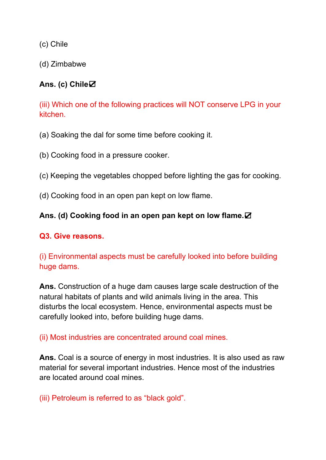(c) Chile

(d) Zimbabwe

# **Ans. (c) Chile**☑

(iii) Which one of the following practices will NOT conserve LPG in your kitchen.

- (a) Soaking the dal for some time before cooking it.
- (b) Cooking food in a pressure cooker.
- (c) Keeping the vegetables chopped before lighting the gas for cooking.
- (d) Cooking food in an open pan kept on low flame.

# **Ans. (d) Cooking food in an open pan kept on low flame.**☑

#### **Q3. Give reasons.**

(i) Environmental aspects must be carefully looked into before building huge dams.

**Ans.** Construction of a huge dam causes large scale destruction of the natural habitats of plants and wild animals living in the area. This disturbs the local ecosystem. Hence, environmental aspects must be carefully looked into, before building huge dams.

(ii) Most industries are concentrated around coal mines.

**Ans.** Coal is a source of energy in most industries. It is also used as raw material for several important industries. Hence most of the industries are located around coal mines.

(iii) Petroleum is referred to as "black gold".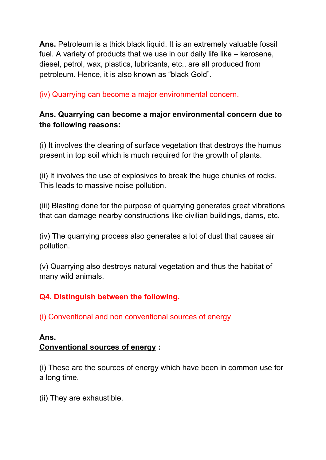**Ans.** Petroleum is a thick black liquid. It is an extremely valuable fossil fuel. A variety of products that we use in our daily life like – kerosene, diesel, petrol, wax, plastics, lubricants, etc., are all produced from petroleum. Hence, it is also known as "black Gold".

(iv) Quarrying can become a major environmental concern.

# **Ans. Quarrying can become a major environmental concern due to the following reasons:**

(i) It involves the clearing of surface vegetation that destroys the humus present in top soil which is much required for the growth of plants.

(ii) It involves the use of explosives to break the huge chunks of rocks. This leads to massive noise pollution.

(iii) Blasting done for the purpose of quarrying generates great vibrations that can damage nearby constructions like civilian buildings, dams, etc.

(iv) The quarrying process also generates a lot of dust that causes air pollution.

(v) Quarrying also destroys natural vegetation and thus the habitat of many wild animals.

# **Q4. Distinguish between the following.**

(i) Conventional and non conventional sources of energy

#### **Ans. Conventional sources of energy :**

(i) These are the sources of energy which have been in common use for a long time.

(ii) They are exhaustible.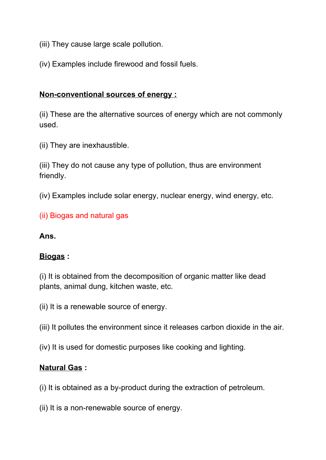- (iii) They cause large scale pollution.
- (iv) Examples include firewood and fossil fuels.

### **Non-conventional sources of energy :**

(ii) These are the alternative sources of energy which are not commonly used.

(ii) They are inexhaustible.

(iii) They do not cause any type of pollution, thus are environment friendly.

(iv) Examples include solar energy, nuclear energy, wind energy, etc.

(ii) Biogas and natural gas

#### **Ans.**

#### **Biogas :**

(i) It is obtained from the decomposition of organic matter like dead plants, animal dung, kitchen waste, etc.

- (ii) It is a renewable source of energy.
- (iii) It pollutes the environment since it releases carbon dioxide in the air.
- (iv) It is used for domestic purposes like cooking and lighting.

#### **Natural Gas :**

(i) It is obtained as a by-product during the extraction of petroleum.

(ii) It is a non-renewable source of energy.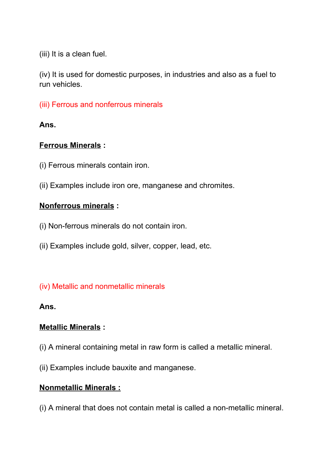(iii) It is a clean fuel.

(iv) It is used for domestic purposes, in industries and also as a fuel to run vehicles.

(iii) Ferrous and nonferrous minerals

**Ans.**

# **Ferrous Minerals :**

- (i) Ferrous minerals contain iron.
- (ii) Examples include iron ore, manganese and chromites.

# **Nonferrous minerals :**

- (i) Non-ferrous minerals do not contain iron.
- (ii) Examples include gold, silver, copper, lead, etc.

# (iv) Metallic and nonmetallic minerals

#### **Ans.**

# **Metallic Minerals :**

- (i) A mineral containing metal in raw form is called a metallic mineral.
- (ii) Examples include bauxite and manganese.

# **Nonmetallic Minerals :**

(i) A mineral that does not contain metal is called a non-metallic mineral.